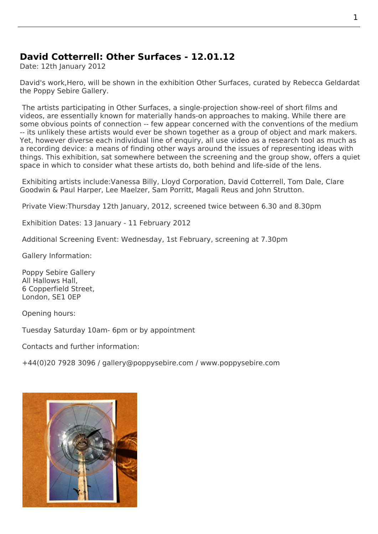## **David Cotterrell: Other Surfaces - 12.01.12**

Date: 12th January 2012

David's work,Hero, will be shown in the exhibition Other Surfaces, curated by Rebecca Geldardat the Poppy Sebire Gallery.

 The artists participating in Other Surfaces, a single-projection show-reel of short films and videos, are e[ssenti](http://www.cotterrell.com/projects/42/hero-v/)ally known for materially hands[-on approaches](http://poppysebire.com/exhibitions.htm) to making. [While there are](http://www.guardian.co.uk/profile/rebeccageldard) so[me obvious points of c](http://poppysebire.com)onnection -- few appear concerned with the conventions of the medium -- its unlikely these artists would ever be shown together as a group of object and mark makers. Yet, however diverse each individual line of enquiry, all use video as a research tool as much as a recording device: a means of finding other ways around the issues of representing ideas with things. This exhibition, sat somewhere between the screening and the group show, offers a quiet space in which to consider what these artists do, both behind and life-side of the lens.

 Exhibiting artists include:Vanessa Billy, Lloyd Corporation, David Cotterrell, Tom Dale, Clare Goodwin & Paul Harper, Lee Maelzer, Sam Porritt, Magali Reus and John Strutton.

Private View:Thursday 12th January, 2012, screened twice between 6.30 and 8.30pm

Exhibition Dates: 13 January - 11 February 2012

Additional Screening Event: Wednesday, 1st February, screening at 7.30pm

Gallery Information:

 Poppy Sebire Gallery All Hallows Hall, 6 Copperfield Street, London, SE1 0EP

Opening hours:

Tuesday Saturday 10am- 6pm or by appointment

Contacts and further information:

+44(0)20 7928 3096 / gallery@poppysebire.com / www.poppysebire.com